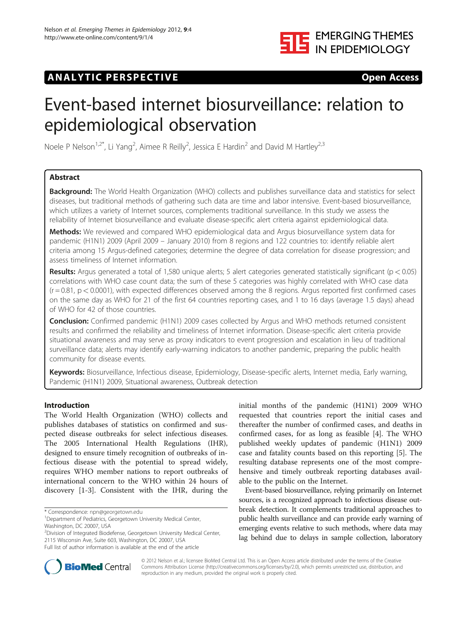# ANALYTIC PERSPECTIVE **EXAMPLE 2018 THE SET OF ACCESS**

# Event-based internet biosurveillance: relation to epidemiological observation

Noele P Nelson<sup>1,2\*</sup>, Li Yang<sup>2</sup>, Aimee R Reilly<sup>2</sup>, Jessica E Hardin<sup>2</sup> and David M Hartley<sup>2,3</sup>

# Abstract

Background: The World Health Organization (WHO) collects and publishes surveillance data and statistics for select diseases, but traditional methods of gathering such data are time and labor intensive. Event-based biosurveillance, which utilizes a variety of Internet sources, complements traditional surveillance. In this study we assess the reliability of Internet biosurveillance and evaluate disease-specific alert criteria against epidemiological data.

Methods: We reviewed and compared WHO epidemiological data and Argus biosurveillance system data for pandemic (H1N1) 2009 (April 2009 – January 2010) from 8 regions and 122 countries to: identify reliable alert criteria among 15 Argus-defined categories; determine the degree of data correlation for disease progression; and assess timeliness of Internet information.

**Results:** Argus generated a total of 1,580 unique alerts; 5 alert categories generated statistically significant ( $p < 0.05$ ) correlations with WHO case count data; the sum of these 5 categories was highly correlated with WHO case data  $(r = 0.81, p < 0.0001)$ , with expected differences observed among the 8 regions. Argus reported first confirmed cases on the same day as WHO for 21 of the first 64 countries reporting cases, and 1 to 16 days (average 1.5 days) ahead of WHO for 42 of those countries.

**Conclusion:** Confirmed pandemic (H1N1) 2009 cases collected by Argus and WHO methods returned consistent results and confirmed the reliability and timeliness of Internet information. Disease-specific alert criteria provide situational awareness and may serve as proxy indicators to event progression and escalation in lieu of traditional surveillance data; alerts may identify early-warning indicators to another pandemic, preparing the public health community for disease events.

Keywords: Biosurveillance, Infectious disease, Epidemiology, Disease-specific alerts, Internet media, Early warning, Pandemic (H1N1) 2009, Situational awareness, Outbreak detection

# Introduction

The World Health Organization (WHO) collects and publishes databases of statistics on confirmed and suspected disease outbreaks for select infectious diseases. The 2005 International Health Regulations (IHR), designed to ensure timely recognition of outbreaks of infectious disease with the potential to spread widely, requires WHO member nations to report outbreaks of international concern to the WHO within 24 hours of discovery [[1-3](#page-11-0)]. Consistent with the IHR, during the

<sup>2</sup> Division of Integrated Biodefense, Georgetown University Medical Center, 2115 Wisconsin Ave, Suite 603, Washington, DC 20007, USA Full list of author information is available at the end of the article

initial months of the pandemic (H1N1) 2009 WHO requested that countries report the initial cases and thereafter the number of confirmed cases, and deaths in confirmed cases, for as long as feasible [[4\]](#page-11-0). The WHO published weekly updates of pandemic (H1N1) 2009 case and fatality counts based on this reporting [[5\]](#page-11-0). The resulting database represents one of the most comprehensive and timely outbreak reporting databases available to the public on the Internet.

Event-based biosurveillance, relying primarily on Internet sources, is a recognized approach to infectious disease outbreak detection. It complements traditional approaches to public health surveillance and can provide early warning of emerging events relative to such methods, where data may lag behind due to delays in sample collection, laboratory



© 2012 Nelson et al.; licensee BioMed Central Ltd. This is an Open Access article distributed under the terms of the Creative Commons Attribution License [\(http://creativecommons.org/licenses/by/2.0\)](http://creativecommons.org/licenses/by/2.0), which permits unrestricted use, distribution, and reproduction in any medium, provided the original work is properly cited.

<sup>\*</sup> Correspondence: [npn@georgetown.edu](mailto:npn@georgetown.edu) <sup>1</sup>

<sup>&</sup>lt;sup>1</sup> Department of Pediatrics, Georgetown University Medical Center, Washington, DC 20007, USA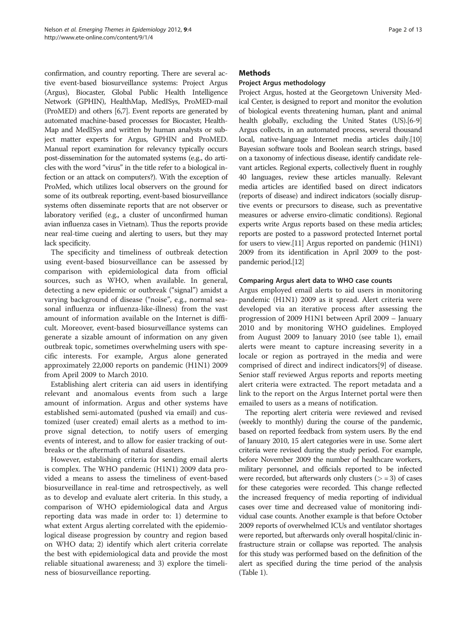confirmation, and country reporting. There are several active event-based biosurveillance systems: Project Argus (Argus), Biocaster, Global Public Health Intelligence Network (GPHIN), HealthMap, MedISys, ProMED-mail (ProMED) and others [\[6,](#page-11-0)[7](#page-12-0)]. Event reports are generated by automated machine-based processes for Biocaster, Health-Map and MedISys and written by human analysts or subject matter experts for Argus, GPHIN and ProMED. Manual report examination for relevancy typically occurs post-dissemination for the automated systems (e.g., do articles with the word "virus" in the title refer to a biological infection or an attack on computers?). With the exception of ProMed, which utilizes local observers on the ground for some of its outbreak reporting, event-based biosurveillance systems often disseminate reports that are not observer or laboratory verified (e.g., a cluster of unconfirmed human avian influenza cases in Vietnam). Thus the reports provide near real-time cueing and alerting to users, but they may lack specificity.

The specificity and timeliness of outbreak detection using event-based biosurveillance can be assessed by comparison with epidemiological data from official sources, such as WHO, when available. In general, detecting a new epidemic or outbreak ("signal") amidst a varying background of disease ("noise", e.g., normal seasonal influenza or influenza-like-illness) from the vast amount of information available on the Internet is difficult. Moreover, event-based biosurveillance systems can generate a sizable amount of information on any given outbreak topic, sometimes overwhelming users with specific interests. For example, Argus alone generated approximately 22,000 reports on pandemic (H1N1) 2009 from April 2009 to March 2010.

Establishing alert criteria can aid users in identifying relevant and anomalous events from such a large amount of information. Argus and other systems have established semi-automated (pushed via email) and customized (user created) email alerts as a method to improve signal detection, to notify users of emerging events of interest, and to allow for easier tracking of outbreaks or the aftermath of natural disasters.

However, establishing criteria for sending email alerts is complex. The WHO pandemic (H1N1) 2009 data provided a means to assess the timeliness of event-based biosurveillance in real-time and retrospectively, as well as to develop and evaluate alert criteria. In this study, a comparison of WHO epidemiological data and Argus reporting data was made in order to: 1) determine to what extent Argus alerting correlated with the epidemiological disease progression by country and region based on WHO data; 2) identify which alert criteria correlate the best with epidemiological data and provide the most reliable situational awareness; and 3) explore the timeliness of biosurveillance reporting.

# **Methods**

# Project Argus methodology

Project Argus, hosted at the Georgetown University Medical Center, is designed to report and monitor the evolution of biological events threatening human, plant and animal health globally, excluding the United States (US).[[6](#page-11-0)-[9](#page-12-0)] Argus collects, in an automated process, several thousand local, native-language Internet media articles daily.[\[10](#page-12-0)] Bayesian software tools and Boolean search strings, based on a taxonomy of infectious disease, identify candidate relevant articles. Regional experts, collectively fluent in roughly 40 languages, review these articles manually. Relevant media articles are identified based on direct indicators (reports of disease) and indirect indicators (socially disruptive events or precursors to disease, such as preventative measures or adverse enviro-climatic conditions). Regional experts write Argus reports based on these media articles; reports are posted to a password protected Internet portal for users to view.[\[11\]](#page-12-0) Argus reported on pandemic (H1N1) 2009 from its identification in April 2009 to the postpandemic period.[[12](#page-12-0)]

# Comparing Argus alert data to WHO case counts

Argus employed email alerts to aid users in monitoring pandemic (H1N1) 2009 as it spread. Alert criteria were developed via an iterative process after assessing the progression of 2009 H1N1 between April 2009 – January 2010 and by monitoring WHO guidelines. Employed from August 2009 to January 2010 (see table [1\)](#page-2-0), email alerts were meant to capture increasing severity in a locale or region as portrayed in the media and were comprised of direct and indirect indicators[\[9](#page-12-0)] of disease. Senior staff reviewed Argus reports and reports meeting alert criteria were extracted. The report metadata and a link to the report on the Argus Internet portal were then emailed to users as a means of notification.

The reporting alert criteria were reviewed and revised (weekly to monthly) during the course of the pandemic, based on reported feedback from system users. By the end of January 2010, 15 alert categories were in use. Some alert criteria were revised during the study period. For example, before November 2009 the number of healthcare workers, military personnel, and officials reported to be infected were recorded, but afterwards only clusters  $(>= 3)$  of cases for these categories were recorded. This change reflected the increased frequency of media reporting of individual cases over time and decreased value of monitoring individual case counts. Another example is that before October 2009 reports of overwhelmed ICUs and ventilator shortages were reported, but afterwards only overall hospital/clinic infrastructure strain or collapse was reported. The analysis for this study was performed based on the definition of the alert as specified during the time period of the analysis (Table [1](#page-2-0)).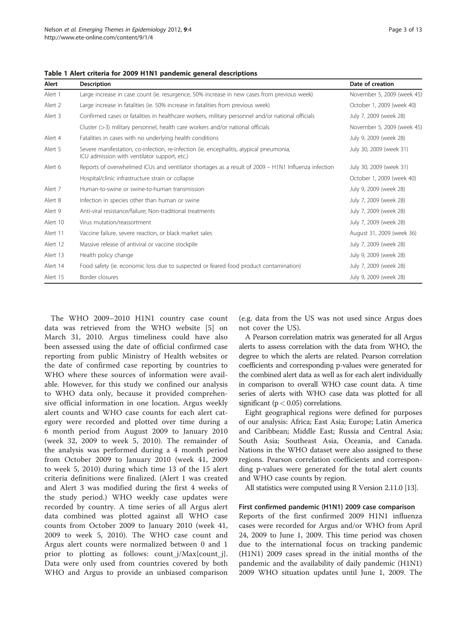| Alert    | <b>Description</b>                                                                                                                      | Date of creation           |
|----------|-----------------------------------------------------------------------------------------------------------------------------------------|----------------------------|
| Alert 1  | Large increase in case count (ie. resurgence, 50% increase in new cases from previous week)                                             | November 5, 2009 (week 45) |
| Alert 2  | Large increase in fatalities (ie. 50% increase in fatalities from previous week)                                                        | October 1, 2009 (week 40)  |
| Alert 3  | Confirmed cases or fatalities in healthcare workers, military personnel and/or national officials                                       | July 7, 2009 (week 28)     |
|          | Cluster $(>3)$ military personnel, health care workers and/or national officials                                                        | November 5, 2009 (week 45) |
| Alert 4  | Fatalities in cases with no underlying health conditions                                                                                | July 9, 2009 (week 28)     |
| Alert 5  | Severe manifestation, co-infection, re-infection (ie. encephalitis, atypical pneumonia,<br>ICU admission with ventilator support, etc.) | July 30, 2009 (week 31)    |
| Alert 6  | Reports of overwhelmed ICUs and ventilator shortages as a result of 2009 - H1N1 Influenza infection                                     | July 30, 2009 (week 31)    |
|          | Hospital/clinic infrastructure strain or collapse                                                                                       | October 1, 2009 (week 40)  |
| Alert 7  | Human-to-swine or swine-to-human transmission                                                                                           | July 9, 2009 (week 28)     |
| Alert 8  | Infection in species other than human or swine                                                                                          | July 7, 2009 (week 28)     |
| Alert 9  | Anti-viral resistance/failure; Non-traditional treatments                                                                               | July 7, 2009 (week 28)     |
| Alert 10 | Virus mutation/reassortment                                                                                                             | July 7, 2009 (week 28)     |
| Alert 11 | Vaccine failure, severe reaction, or black market sales                                                                                 | August 31, 2009 (week 36)  |
| Alert 12 | Massive release of antiviral or vaccine stockpile                                                                                       | July 7, 2009 (week 28)     |
| Alert 13 | Health policy change                                                                                                                    | July 9, 2009 (week 28)     |
| Alert 14 | Food safety (ie. economic loss due to suspected or feared food product contamination)                                                   | July 7, 2009 (week 28)     |
| Alert 15 | Border closures                                                                                                                         | July 9, 2009 (week 28)     |

<span id="page-2-0"></span>Table 1 Alert criteria for 2009 H1N1 pandemic general descriptions

The WHO 2009–2010 H1N1 country case count data was retrieved from the WHO website [\[5](#page-11-0)] on March 31, 2010. Argus timeliness could have also been assessed using the date of official confirmed case reporting from public Ministry of Health websites or the date of confirmed case reporting by countries to WHO where these sources of information were available. However, for this study we confined our analysis to WHO data only, because it provided comprehensive official information in one location. Argus weekly alert counts and WHO case counts for each alert category were recorded and plotted over time during a 6 month period from August 2009 to January 2010 (week 32, 2009 to week 5, 2010). The remainder of the analysis was performed during a 4 month period from October 2009 to January 2010 (week 41, 2009 to week 5, 2010) during which time 13 of the 15 alert criteria definitions were finalized. (Alert 1 was created and Alert 3 was modified during the first 4 weeks of the study period.) WHO weekly case updates were recorded by country. A time series of all Argus alert data combined was plotted against all WHO case counts from October 2009 to January 2010 (week 41, 2009 to week 5, 2010). The WHO case count and Argus alert counts were normalized between 0 and 1 prior to plotting as follows: count\_j/Max{count\_j}. Data were only used from countries covered by both WHO and Argus to provide an unbiased comparison

(e.g. data from the US was not used since Argus does not cover the US).

A Pearson correlation matrix was generated for all Argus alerts to assess correlation with the data from WHO, the degree to which the alerts are related. Pearson correlation coefficients and corresponding p-values were generated for the combined alert data as well as for each alert individually in comparison to overall WHO case count data. A time series of alerts with WHO case data was plotted for all significant ( $p < 0.05$ ) correlations.

Eight geographical regions were defined for purposes of our analysis: Africa; East Asia; Europe; Latin America and Caribbean; Middle East; Russia and Central Asia; South Asia; Southeast Asia, Oceania, and Canada. Nations in the WHO dataset were also assigned to these regions. Pearson correlation coefficients and corresponding p-values were generated for the total alert counts and WHO case counts by region.

All statistics were computed using R Version 2.11.0 [\[13\]](#page-12-0).

## First confirmed pandemic (H1N1) 2009 case comparison

Reports of the first confirmed 2009 H1N1 influenza cases were recorded for Argus and/or WHO from April 24, 2009 to June 1, 2009. This time period was chosen due to the international focus on tracking pandemic (H1N1) 2009 cases spread in the initial months of the pandemic and the availability of daily pandemic (H1N1) 2009 WHO situation updates until June 1, 2009. The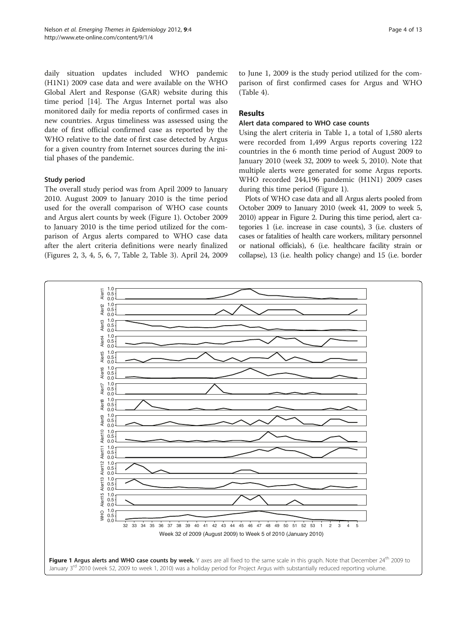daily situation updates included WHO pandemic (H1N1) 2009 case data and were available on the WHO Global Alert and Response (GAR) website during this time period [[14\]](#page-12-0). The Argus Internet portal was also monitored daily for media reports of confirmed cases in new countries. Argus timeliness was assessed using the date of first official confirmed case as reported by the WHO relative to the date of first case detected by Argus for a given country from Internet sources during the initial phases of the pandemic.

### Study period

The overall study period was from April 2009 to January 2010. August 2009 to January 2010 is the time period used for the overall comparison of WHO case counts and Argus alert counts by week (Figure 1). October 2009 to January 2010 is the time period utilized for the comparison of Argus alerts compared to WHO case data after the alert criteria definitions were nearly finalized (Figures [2,](#page-4-0) [3](#page-5-0), [4](#page-6-0), [5,](#page-6-0) [6](#page-7-0), [7,](#page-7-0) Table [2](#page-8-0), Table [3](#page-8-0)). April 24, 2009

to June 1, 2009 is the study period utilized for the comparison of first confirmed cases for Argus and WHO (Table [4\)](#page-9-0).

## Results

# Alert data compared to WHO case counts

Using the alert criteria in Table [1](#page-2-0), a total of 1,580 alerts were recorded from 1,499 Argus reports covering 122 countries in the 6 month time period of August 2009 to January 2010 (week 32, 2009 to week 5, 2010). Note that multiple alerts were generated for some Argus reports. WHO recorded 244,196 pandemic (H1N1) 2009 cases during this time period (Figure 1).

Plots of WHO case data and all Argus alerts pooled from October 2009 to January 2010 (week 41, 2009 to week 5, 2010) appear in Figure [2](#page-4-0). During this time period, alert categories 1 (i.e. increase in case counts), 3 (i.e. clusters of cases or fatalities of health care workers, military personnel or national officials), 6 (i.e. healthcare facility strain or collapse), 13 (i.e. health policy change) and 15 (i.e. border

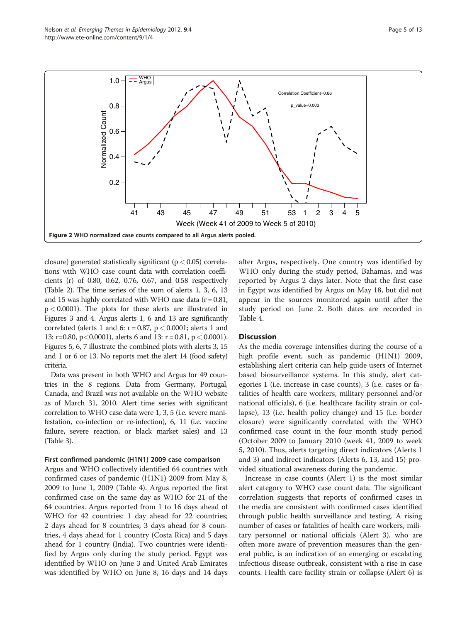<span id="page-4-0"></span>

closure) generated statistically significant ( $p < 0.05$ ) correlations with WHO case count data with correlation coefficients (r) of 0.80, 0.62, 0.76, 0.67, and 0.58 respectively (Table [2\)](#page-8-0). The time series of the sum of alerts 1, 3, 6, 13 and 15 was highly correlated with WHO case data  $(r = 0.81,$ p< 0.0001). The plots for these alerts are illustrated in Figures [3](#page-5-0) and [4](#page-6-0). Argus alerts 1, 6 and 13 are significantly correlated (alerts 1 and 6:  $r = 0.87$ ,  $p < 0.0001$ ; alerts 1 and 13: r=0.80, p<0.0001), alerts 6 and 13: r = 0.81, p < 0.0001). Figures [5](#page-6-0), [6, 7](#page-7-0) illustrate the combined plots with alerts 3, 15 and 1 or 6 or 13. No reports met the alert 14 (food safety) criteria.

Data was present in both WHO and Argus for 49 countries in the 8 regions. Data from Germany, Portugal, Canada, and Brazil was not available on the WHO website as of March 31, 2010. Alert time series with significant correlation to WHO case data were 1, 3, 5 (i.e. severe manifestation, co-infection or re-infection), 6, 11 (i.e. vaccine failure, severe reaction, or black market sales) and 13 (Table [3](#page-8-0)).

### First confirmed pandemic (H1N1) 2009 case comparison

Argus and WHO collectively identified 64 countries with confirmed cases of pandemic (H1N1) 2009 from May 8, 2009 to June 1, 2009 (Table [4](#page-9-0)). Argus reported the first confirmed case on the same day as WHO for 21 of the 64 countries. Argus reported from 1 to 16 days ahead of WHO for 42 countries: 1 day ahead for 22 countries; 2 days ahead for 8 countries; 3 days ahead for 8 countries, 4 days ahead for 1 country (Costa Rica) and 5 days ahead for 1 country (India). Two countries were identified by Argus only during the study period. Egypt was identified by WHO on June 3 and United Arab Emirates was identified by WHO on June 8, 16 days and 14 days

after Argus, respectively. One country was identified by WHO only during the study period, Bahamas, and was reported by Argus 2 days later. Note that the first case in Egypt was identified by Argus on May 18, but did not appear in the sources monitored again until after the study period on June 2. Both dates are recorded in Table [4.](#page-9-0)

# **Discussion**

As the media coverage intensifies during the course of a high profile event, such as pandemic (H1N1) 2009, establishing alert criteria can help guide users of Internet based biosurveillance systems. In this study, alert categories 1 (i.e. increase in case counts), 3 (i.e. cases or fatalities of health care workers, military personnel and/or national officials), 6 (i.e. healthcare facility strain or collapse), 13 (i.e. health policy change) and 15 (i.e. border closure) were significantly correlated with the WHO confirmed case count in the four month study period (October 2009 to January 2010 (week 41, 2009 to week 5, 2010). Thus, alerts targeting direct indicators (Alerts 1 and 3) and indirect indicators (Alerts 6, 13, and 15) provided situational awareness during the pandemic.

Increase in case counts (Alert 1) is the most similar alert category to WHO case count data. The significant correlation suggests that reports of confirmed cases in the media are consistent with confirmed cases identified through public health surveillance and testing. A rising number of cases or fatalities of health care workers, military personnel or national officials (Alert 3), who are often more aware of prevention measures than the general public, is an indication of an emerging or escalating infectious disease outbreak, consistent with a rise in case counts. Health care facility strain or collapse (Alert 6) is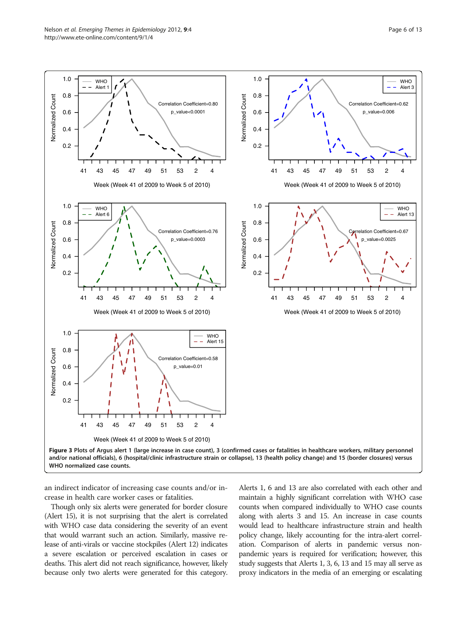<span id="page-5-0"></span>

an indirect indicator of increasing case counts and/or increase in health care worker cases or fatalities.

Though only six alerts were generated for border closure (Alert 15), it is not surprising that the alert is correlated with WHO case data considering the severity of an event that would warrant such an action. Similarly, massive release of anti-virals or vaccine stockpiles (Alert 12) indicates a severe escalation or perceived escalation in cases or deaths. This alert did not reach significance, however, likely because only two alerts were generated for this category.

Alerts 1, 6 and 13 are also correlated with each other and maintain a highly significant correlation with WHO case counts when compared individually to WHO case counts along with alerts 3 and 15. An increase in case counts would lead to healthcare infrastructure strain and health policy change, likely accounting for the intra-alert correlation. Comparison of alerts in pandemic versus nonpandemic years is required for verification; however, this study suggests that Alerts 1, 3, 6, 13 and 15 may all serve as proxy indicators in the media of an emerging or escalating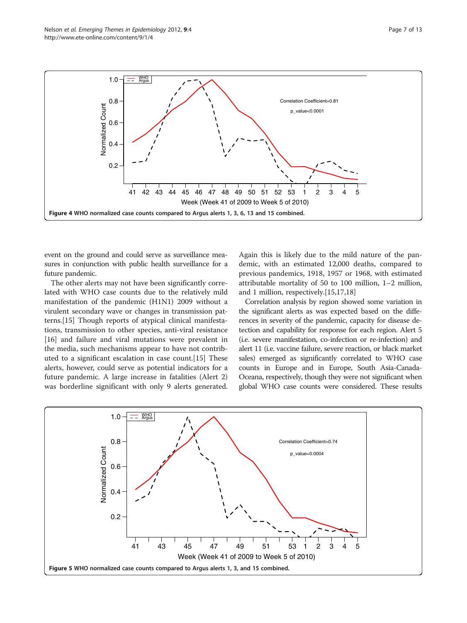event on the ground and could serve as surveillance measures in conjunction with public health surveillance for a

future pandemic. The other alerts may not have been significantly correlated with WHO case counts due to the relatively mild manifestation of the pandemic (H1N1) 2009 without a virulent secondary wave or changes in transmission patterns.[\[15](#page-12-0)] Though reports of atypical clinical manifestations, transmission to other species, anti-viral resistance [[16\]](#page-12-0) and failure and viral mutations were prevalent in the media, such mechanisms appear to have not contributed to a significant escalation in case count.[[15](#page-12-0)] These alerts, however, could serve as potential indicators for a future pandemic. A large increase in fatalities (Alert 2) was borderline significant with only 9 alerts generated.

Again this is likely due to the mild nature of the pandemic, with an estimated 12,000 deaths, compared to previous pandemics, 1918, 1957 or 1968, with estimated attributable mortality of 50 to 100 million, 1–2 million, and 1 million, respectively.[\[15,17,18](#page-12-0)]

Correlation analysis by region showed some variation in the significant alerts as was expected based on the differences in severity of the pandemic, capacity for disease detection and capability for response for each region. Alert 5 (i.e. severe manifestation, co-infection or re-infection) and alert 11 (i.e. vaccine failure, severe reaction, or black market sales) emerged as significantly correlated to WHO case counts in Europe and in Europe, South Asia-Canada-Oceana, respectively, though they were not significant when global WHO case counts were considered. These results



<span id="page-6-0"></span>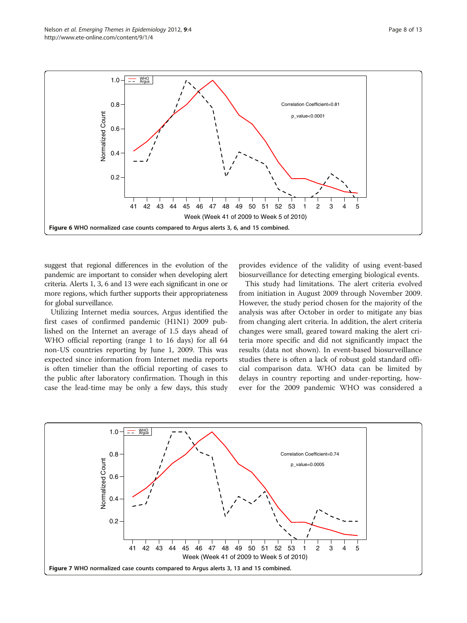<span id="page-7-0"></span>

suggest that regional differences in the evolution of the pandemic are important to consider when developing alert criteria. Alerts 1, 3, 6 and 13 were each significant in one or more regions, which further supports their appropriateness for global surveillance.

Utilizing Internet media sources, Argus identified the first cases of confirmed pandemic (H1N1) 2009 published on the Internet an average of 1.5 days ahead of WHO official reporting (range 1 to 16 days) for all 64 non-US countries reporting by June 1, 2009. This was expected since information from Internet media reports is often timelier than the official reporting of cases to the public after laboratory confirmation. Though in this case the lead-time may be only a few days, this study

provides evidence of the validity of using event-based biosurveillance for detecting emerging biological events.

This study had limitations. The alert criteria evolved from initiation in August 2009 through November 2009. However, the study period chosen for the majority of the analysis was after October in order to mitigate any bias from changing alert criteria. In addition, the alert criteria changes were small, geared toward making the alert criteria more specific and did not significantly impact the results (data not shown). In event-based biosurveillance studies there is often a lack of robust gold standard official comparison data. WHO data can be limited by delays in country reporting and under-reporting, however for the 2009 pandemic WHO was considered a

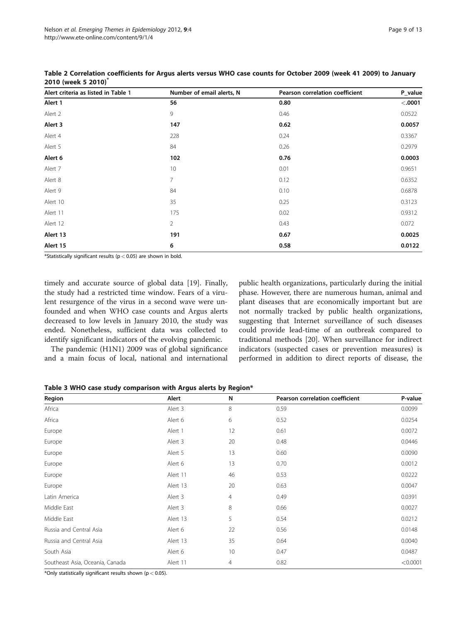| Alert criteria as listed in Table 1 | Number of email alerts, N | Pearson correlation coefficient | P_value |  |
|-------------------------------------|---------------------------|---------------------------------|---------|--|
| Alert 1                             | 56                        | 0.80                            | < .0001 |  |
| Alert 2                             | 9                         | 0.46                            | 0.0522  |  |
| Alert 3                             | 147                       | 0.62                            | 0.0057  |  |
| Alert 4                             | 228                       | 0.24                            | 0.3367  |  |
| Alert 5                             | 84                        | 0.26                            | 0.2979  |  |
| Alert 6                             | 102                       | 0.76                            | 0.0003  |  |
| Alert 7                             | 10                        | 0.01                            | 0.9651  |  |
| Alert 8                             | $\overline{7}$            | 0.12                            | 0.6352  |  |
| Alert 9                             | 84                        | 0.10                            | 0.6878  |  |
| Alert 10                            | 35                        | 0.25                            | 0.3123  |  |
| Alert 11                            | 175                       | 0.02                            | 0.9312  |  |
| Alert 12                            | $\overline{2}$            | 0.43                            | 0.072   |  |
| Alert 13                            | 191                       | 0.67                            | 0.0025  |  |
| Alert 15                            | 6                         | 0.58                            | 0.0122  |  |

<span id="page-8-0"></span>Table 2 Correlation coefficients for Argus alerts versus WHO case counts for October 2009 (week 41 2009) to January 2010 (week 5 2010)\*

\*Statistically significant results ( $p < 0.05$ ) are shown in bold.

timely and accurate source of global data [[19\]](#page-12-0). Finally, the study had a restricted time window. Fears of a virulent resurgence of the virus in a second wave were unfounded and when WHO case counts and Argus alerts decreased to low levels in January 2010, the study was ended. Nonetheless, sufficient data was collected to identify significant indicators of the evolving pandemic.

The pandemic (H1N1) 2009 was of global significance and a main focus of local, national and international

public health organizations, particularly during the initial phase. However, there are numerous human, animal and plant diseases that are economically important but are not normally tracked by public health organizations, suggesting that Internet surveillance of such diseases could provide lead-time of an outbreak compared to traditional methods [[20](#page-12-0)]. When surveillance for indirect indicators (suspected cases or prevention measures) is performed in addition to direct reports of disease, the

Table 3 WHO case study comparison with Argus alerts by Region\*

| Region                          | Alert    | N              | Pearson correlation coefficient | P-value  |
|---------------------------------|----------|----------------|---------------------------------|----------|
| Africa                          | Alert 3  | 8              | 0.59                            | 0.0099   |
| Africa                          | Alert 6  | 6              | 0.52                            | 0.0254   |
| Europe                          | Alert 1  | 12             | 0.61                            | 0.0072   |
| Europe                          | Alert 3  | 20             | 0.48                            | 0.0446   |
| Europe                          | Alert 5  | 13             | 0.60                            | 0.0090   |
| Europe                          | Alert 6  | 13             | 0.70                            | 0.0012   |
| Europe                          | Alert 11 | 46             | 0.53                            | 0.0222   |
| Europe                          | Alert 13 | 20             | 0.63                            | 0.0047   |
| Latin America                   | Alert 3  | $\overline{4}$ | 0.49                            | 0.0391   |
| Middle East                     | Alert 3  | 8              | 0.66                            | 0.0027   |
| Middle East                     | Alert 13 | 5              | 0.54                            | 0.0212   |
| Russia and Central Asia         | Alert 6  | 22             | 0.56                            | 0.0148   |
| Russia and Central Asia         | Alert 13 | 35             | 0.64                            | 0.0040   |
| South Asia                      | Alert 6  | 10             | 0.47                            | 0.0487   |
| Southeast Asia, Oceania, Canada | Alert 11 | $\overline{4}$ | 0.82                            | < 0.0001 |

\*Only statistically significant results shown ( $p < 0.05$ ).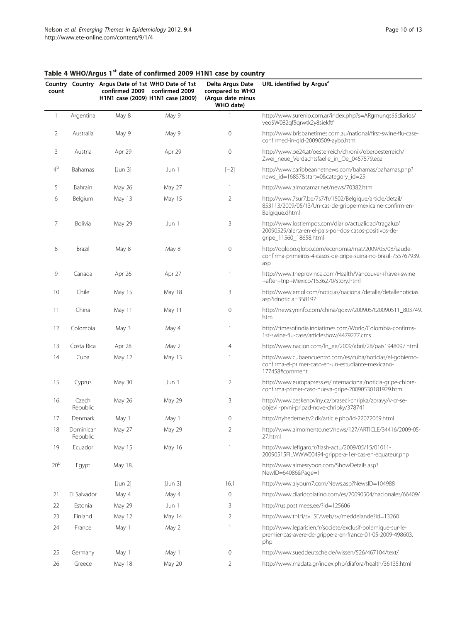| count           |                       | Country Country Argus Date of 1st WHO Date of 1st | confirmed 2009 confirmed 2009<br>H1N1 case (2009) H1N1 case (2009) | Delta Argus Date<br>compared to WHO<br>(Argus date minus<br>WHO date) | URL identified by Argus <sup>a</sup>                                                                                                      |
|-----------------|-----------------------|---------------------------------------------------|--------------------------------------------------------------------|-----------------------------------------------------------------------|-------------------------------------------------------------------------------------------------------------------------------------------|
| 1               | Argentina             | May 8                                             | May 9                                                              | $\mathbf{1}$                                                          | http://www.surenio.com.ar/index.php?s=ARgmungs\$\$diarios/<br>veo\$W082qf5qrwtk2y8siekftf                                                 |
| 2               | Australia             | May 9                                             | May 9                                                              | $\mathbf 0$                                                           | http://www.brisbanetimes.com.au/national/first-swine-flu-case-<br>confirmed-in-gld-20090509-aybo.html                                     |
| 3               | Austria               | Apr 29                                            | Apr 29                                                             | $\mathbf 0$                                                           | http://www.oe24.at/oesterreich/chronik/oberoesterreich/<br>Zwei_neue_Verdachtsfaelle_in_Oe_0457579.ece                                    |
| 4 <sup>b</sup>  | Bahamas               | [Jun 3]                                           | Jun 1                                                              | $[-2]$                                                                | http://www.caribbeannetnews.com/bahamas/bahamas.php?<br>news_id=16857&start=0&category_id=25                                              |
| 5               | Bahrain               | May 26                                            | May 27                                                             | $\overline{1}$                                                        | http://www.almotamar.net/news/70382.htm                                                                                                   |
| 6               | Belgium               | May 13                                            | May 15                                                             | $\overline{2}$                                                        | http://www.7sur7.be/7s7/fr/1502/Belgique/article/detail/<br>853113/2009/05/13/Un-cas-de-grippe-mexicaine-confirm-en-<br>Belgique.dhtml    |
| 7               | <b>Bolivia</b>        | May 29                                            | Jun 1                                                              | 3                                                                     | http://www.lostiempos.com/diario/actualidad/tragaluz/<br>20090529/alerta-en-el-pais-por-dos-casos-positivos-de-<br>gripe_11560_18658.html |
| 8               | <b>Brazil</b>         | May 8                                             | May 8                                                              | $\mathbf 0$                                                           | http://oglobo.globo.com/economia/mat/2009/05/08/saude-<br>confirma-primeiros-4-casos-de-gripe-suina-no-brasil-755767939.<br>asp           |
| 9               | Canada                | Apr 26                                            | Apr 27                                                             | $\mathbf{1}$                                                          | http://www.theprovince.com/Health/Vancouver+have+swine<br>+after+trip+Mexico/1536270/story.html                                           |
| 10              | Chile                 | May 15                                            | May 18                                                             | 3                                                                     | http://www.emol.com/noticias/nacional/detalle/detallenoticias.<br>asp?idnoticia=358197                                                    |
| 11              | China                 | May 11                                            | May 11                                                             | $\mathbf 0$                                                           | http://news.yninfo.com/china/gdxw/200905/t20090511_803749.<br>htm                                                                         |
| 12              | Colombia              | May 3                                             | May 4                                                              | $\mathbf{1}$                                                          | http://timesofindia.indiatimes.com/World/Colombia-confirms-<br>1st-swine-flu-case/articleshow/4479277.cms                                 |
| 13              | Costa Rica            | Apr 28                                            | May 2                                                              | $\overline{4}$                                                        | http://www.nacion.com/ln_ee/2009/abril/28/pais1948097.html                                                                                |
| 14              | Cuba                  | May 12                                            | May 13                                                             | 1                                                                     | http://www.cubaencuentro.com/es/cuba/noticias/el-gobierno-<br>confirma-el-primer-caso-en-un-estudiante-mexicano-<br>177458#comment        |
| 15              | Cyprus                | May 30                                            | Jun 1                                                              | 2                                                                     | http://www.europapress.es/internacional/noticia-gripe-chipre-<br>confirma-primer-caso-nueva-gripe-20090530181929.html                     |
| 16              | Czech<br>Republic     | May 26                                            | May 29                                                             | 3                                                                     | http://www.ceskenoviny.cz/praseci-chripka/zpravy/v-cr-se-<br>objevil-prvni-pripad-nove-chripky/378741                                     |
| 17              | Denmark               | May 1                                             | May 1                                                              | $\mathbf{0}$                                                          | http://nyhederne.tv2.dk/article.php/id-22072069.html                                                                                      |
| 18              | Dominican<br>Republic | May 27                                            | May 29                                                             | $\overline{2}$                                                        | http://www.almomento.net/news/127/ARTICLE/34416/2009-05-<br>27.html                                                                       |
| 19              | Ecuador               | May 15                                            | May 16                                                             | $\mathbf{1}$                                                          | http://www.lefigaro.fr/flash-actu/2009/05/15/01011-<br>20090515FILWWW00494-grippe-a-1er-cas-en-equateur.php                               |
| 20 <sup>b</sup> | Egypt                 | May 18,                                           |                                                                    |                                                                       | http://www.almesryoon.com/ShowDetails.asp?<br>NewID=64086&Page=1                                                                          |
|                 |                       | $[$ Jun 2 $]$                                     | $[$ Jun 3 $]$                                                      | 16,1                                                                  | http://www.alyoum7.com/News.asp?NewsID=104988                                                                                             |
| 21              | El Salvador           | May 4                                             | May 4                                                              | $\mathbf 0$                                                           | http://www.diariocolatino.com/es/20090504/nacionales/66409/                                                                               |
| 22              | Estonia               | May 29                                            | Jun 1                                                              | 3                                                                     | http://rus.postimees.ee/?id=125606                                                                                                        |
| 23              | Finland               | May 12                                            | May 14                                                             | $\overline{2}$                                                        | http://www.thl.fi/sv_SE/web/sv/meddelande?id=13260                                                                                        |
| 24              | France                | May 1                                             | May 2                                                              | $\mathbf{1}$                                                          | http://www.leparisien.fr/societe/exclusif-polemique-sur-le-<br>premier-cas-avere-de-grippe-a-en-france-01-05-2009-498603.<br>php          |
| 25              | Germany               | May 1                                             | May 1                                                              | $\mathbf 0$                                                           | http://www.sueddeutsche.de/wissen/526/467104/text/                                                                                        |
| 26              | Greece                | May 18                                            | May 20                                                             | $\overline{2}$                                                        | http://www.madata.gr/index.php/diafora/health/36135.html                                                                                  |

# <span id="page-9-0"></span>Table 4 WHO/Argus 1<sup>st</sup> date of confirmed 2009 H1N1 case by country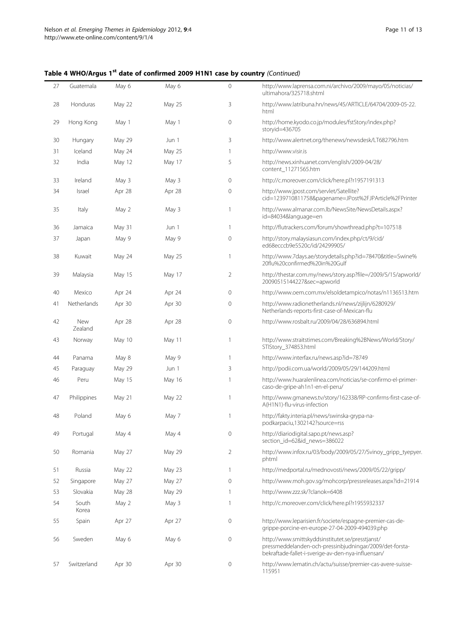# Table 4 WHO/Argus 1<sup>st</sup> date of confirmed 2009 H1N1 case by country (Continued)

| 27 | Guatemala      | May 6  | May 6  | $\circ$             | http://www.laprensa.com.ni/archivo/2009/mayo/05/noticias/<br>ultimahora/325718.shtml                                                                              |
|----|----------------|--------|--------|---------------------|-------------------------------------------------------------------------------------------------------------------------------------------------------------------|
| 28 | Honduras       | May 22 | May 25 | 3                   | http://www.latribuna.hn/news/45/ARTICLE/64704/2009-05-22.<br>html                                                                                                 |
| 29 | Hong Kong      | May 1  | May 1  | $\mathsf{O}\xspace$ | http://home.kyodo.co.jp/modules/fstStory/index.php?<br>storyid=436705                                                                                             |
| 30 | Hungary        | May 29 | Jun 1  | 3                   | http://www.alertnet.org/thenews/newsdesk/LT682796.htm                                                                                                             |
| 31 | Iceland        | May 24 | May 25 | 1                   | http://www.visir.is                                                                                                                                               |
| 32 | India          | May 12 | May 17 | 5                   | http://news.xinhuanet.com/english/2009-04/28/<br>content_11271565.htm                                                                                             |
| 33 | Ireland        | May 3  | May 3  | 0                   | http://c.moreover.com/click/here.pl?r1957191313                                                                                                                   |
| 34 | Israel         | Apr 28 | Apr 28 | 0                   | http://www.jpost.com/servlet/Satellite?<br>cid=1239710811758&pagename=JPost%2FJPArticle%2FPrinter                                                                 |
| 35 | Italy          | May 2  | May 3  | 1                   | http://www.almanar.com.lb/NewsSite/NewsDetails.aspx?<br>id=84034&language=en                                                                                      |
| 36 | Jamaica        | May 31 | Jun 1  | 1                   | http://flutrackers.com/forum/showthread.php?t=107518                                                                                                              |
| 37 | Japan          | May 9  | May 9  | 0                   | http://story.malaysiasun.com/index.php/ct/9/cid/<br>ed68ecccb9e5520c/id/24299905/                                                                                 |
| 38 | Kuwait         | May 24 | May 25 | 1                   | http://www.7days.ae/storydetails.php?id=78470&title=Swine%<br>20flu%20confirmed%20in%20Gulf                                                                       |
| 39 | Malaysia       | May 15 | May 17 | $\overline{2}$      | http://thestar.com.my/news/story.asp?file=/2009/5/15/apworld/<br>20090515144227&sec=apworld                                                                       |
| 40 | Mexico         | Apr 24 | Apr 24 | 0                   | http://www.oem.com.mx/elsoldetampico/notas/n1136513.htm                                                                                                           |
| 41 | Netherlands    | Apr 30 | Apr 30 | 0                   | http://www.radionetherlands.nl/news/zijlijn/6280929/<br>Netherlands-reports-first-case-of-Mexican-flu                                                             |
| 42 | New<br>Zealand | Apr 28 | Apr 28 | 0                   | http://www.rosbalt.ru/2009/04/28/636894.html                                                                                                                      |
| 43 | Norway         | May 10 | May 11 | 1                   | http://www.straitstimes.com/Breaking%2BNews/World/Story/<br>STIStory_374853.html                                                                                  |
| 44 | Panama         | May 8  | May 9  | 1                   | http://www.interfax.ru/news.asp?id=78749                                                                                                                          |
| 45 | Paraguay       | May 29 | Jun 1  | 3                   | http://podii.com.ua/world/2009/05/29/144209.html                                                                                                                  |
| 46 | Peru           | May 15 | May 16 | 1                   | http://www.huaralenlinea.com/noticias/se-confirmo-el-primer-<br>caso-de-gripe-ah1n1-en-el-peru/                                                                   |
| 47 | Philippines    | May 21 | May 22 | 1                   | http://www.gmanews.tv/story/162338/RP-confirms-first-case-of-<br>A(H1N1)-flu-virus-infection                                                                      |
| 48 | Poland         | May 6  | May 7  | 1                   | http://fakty.interia.pl/news/swinska-grypa-na-<br>podkarpaciu,1302142?source=rss                                                                                  |
| 49 | Portugal       | May 4  | May 4  | 0                   | http://diariodigital.sapo.pt/news.asp?<br>section_id=62&id_news=386022                                                                                            |
| 50 | Romania        | May 27 | May 29 | $\overline{2}$      | http://www.infox.ru/03/body/2009/05/27/Svinoy_gripp_tyepyer.<br>phtml                                                                                             |
| 51 | Russia         | May 22 | May 23 | 1                   | http://medportal.ru/mednovosti/news/2009/05/22/gripp/                                                                                                             |
| 52 | Singapore      | May 27 | May 27 | 0                   | http://www.moh.gov.sg/mohcorp/pressreleases.aspx?id=21914                                                                                                         |
| 53 | Slovakia       | May 28 | May 29 | $\mathbf{1}$        | http://www.zzz.sk/?clanok=6408                                                                                                                                    |
| 54 | South<br>Korea | May 2  | May 3  | 1                   | http://c.moreover.com/click/here.pl?r1955932337                                                                                                                   |
| 55 | Spain          | Apr 27 | Apr 27 | $\mathsf{O}\xspace$ | http://www.leparisien.fr/societe/espagne-premier-cas-de-<br>grippe-porcine-en-europe-27-04-2009-494039.php                                                        |
| 56 | Sweden         | May 6  | May 6  | $\mathsf{O}\xspace$ | http://www.smittskyddsinstitutet.se/presstjanst/<br>pressmeddelanden-och-pressinbjudningar/2009/det-forsta-<br>bekraftade-fallet-i-sverige-av-den-nya-influensan/ |
| 57 | Switzerland    | Apr 30 | Apr 30 | 0                   | http://www.lematin.ch/actu/suisse/premier-cas-avere-suisse-<br>115951                                                                                             |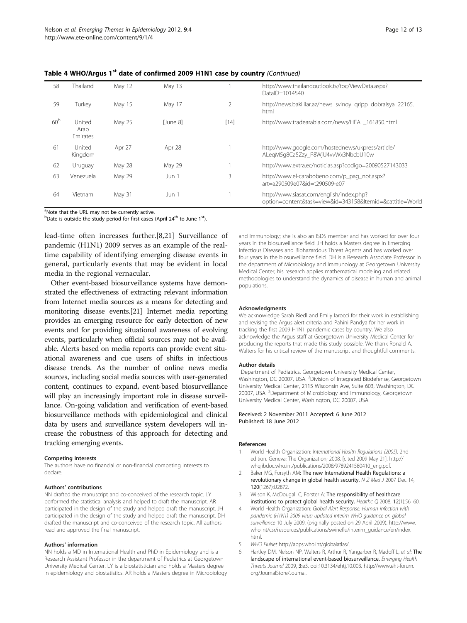| 58              | Thailand                   | May 12 | May 13   |        | http://www.thailandoutlook.tv/toc/ViewData.aspx?<br>DataID=1014540                                    |
|-----------------|----------------------------|--------|----------|--------|-------------------------------------------------------------------------------------------------------|
| 59              | Turkey                     | May 15 | May 17   | 2      | http://news.bakililar.az/news svinoy gripp dobralsya 22165.<br>html                                   |
| 60 <sup>b</sup> | United<br>Arab<br>Emirates | May 25 | [June 8] | $[14]$ | http://www.tradearabia.com/news/HEAL 161850.html                                                      |
| 61              | United<br>Kingdom          | Apr 27 | Apr 28   |        | http://www.google.com/hostednews/ukpress/article/<br>ALegM5g8Ca5Zzy_P8WjU4vvWx3NbcbU10w               |
| 62              | Uruguay                    | May 28 | May 29   |        | http://www.extra.ec/noticias.asp?codigo=20090527143033                                                |
| 63              | Venezuela                  | May 29 | Jun 1    | 3      | http://www.el-carabobeno.com/p_paq_not.aspx?<br>art=a290509e07&id=t290509-e07                         |
| 64              | Vietnam                    | May 31 | Jun 1    |        | http://www.siasat.com/english/index.php?<br>option=content&task=view&id=343158&Itemid=&cattitle=World |
|                 |                            |        |          |        |                                                                                                       |

<span id="page-11-0"></span>Table 4 WHO/Argus 1<sup>st</sup> date of confirmed 2009 H1N1 case by country (Continued)

<sup>a</sup>Note that the URL may not be currently active.

<sup>b</sup>Date is outside the study period for first cases (April 24<sup>th</sup> to June 1<sup>st</sup>).

lead-time often increases further.[[8](#page-12-0),[21](#page-12-0)] Surveillance of pandemic (H1N1) 2009 serves as an example of the realtime capability of identifying emerging disease events in general, particularly events that may be evident in local media in the regional vernacular.

Other event-based biosurveillance systems have demonstrated the effectiveness of extracting relevant information from Internet media sources as a means for detecting and monitoring disease events.[\[21\]](#page-12-0) Internet media reporting provides an emerging resource for early detection of new events and for providing situational awareness of evolving events, particularly when official sources may not be available. Alerts based on media reports can provide event situational awareness and cue users of shifts in infectious disease trends. As the number of online news media sources, including social media sources with user-generated content, continues to expand, event-based biosurveillance will play an increasingly important role in disease surveillance. On-going validation and verification of event-based biosurveillance methods with epidemiological and clinical data by users and surveillance system developers will increase the robustness of this approach for detecting and tracking emerging events.

### Competing interests

The authors have no financial or non-financial competing interests to declare.

### Authors' contributions

NN drafted the manuscript and co-conceived of the research topic. LY performed the statistical analysis and helped to draft the manuscript. AR participated in the design of the study and helped draft the manuscript. JH participated in the design of the study and helped draft the manuscript. DH drafted the manuscript and co-conceived of the research topic. All authors read and approved the final manuscript.

### Authors' information

NN holds a MD in International Health and PhD in Epidemiology and is a Research Assistant Professor in the department of Pediatrics at Georgetown University Medical Center. LY is a biostatistician and holds a Masters degree in epidemiology and biostatistics. AR holds a Masters degree in Microbiology and Immunology; she is also an ISDS member and has worked for over four years in the biosurveillance field. JH holds a Masters degree in Emerging Infectious Diseases and Biohazardous Threat Agents and has worked over four years in the biosurveillance field. DH is a Research Associate Professor in the department of Microbiology and Immunology at Georgetown University Medical Center; his research applies mathematical modeling and related methodologies to understand the dynamics of disease in human and animal populations.

#### Acknowledgments

We acknowledge Sarah Riedl and Emily Iarocci for their work in establishing and revising the Argus alert criteria and Pahini Pandya for her work in tracking the first 2009 H1N1 pandemic cases by country. We also acknowledge the Argus staff at Georgetown University Medical Center for producing the reports that made this study possible. We thank Ronald A. Walters for his critical review of the manuscript and thoughtful comments.

#### Author details

<sup>1</sup>Department of Pediatrics, Georgetown University Medical Center Washington, DC 20007, USA. <sup>2</sup> Division of Integrated Biodefense, Georgetown University Medical Center, 2115 Wisconsin Ave, Suite 603, Washington, DC 20007, USA. <sup>3</sup>Department of Microbiology and Immunology, Georgetown University Medical Center, Washington, DC 20007, USA.

#### Received: 2 November 2011 Accepted: 6 June 2012 Published: 18 June 2012

### References

- 1. World Health Organization: International Health Regulations (2005). 2nd edition. Geneva: The Organization; 2008. [cited 2009 May 21]. [http://](http://whqlibdoc.who.int/publications/2008/9789241580410_eng.pdf) [whqlibdoc.who.int/publications/2008/9789241580410\\_eng.pdf.](http://whqlibdoc.who.int/publications/2008/9789241580410_eng.pdf)
- 2. Baker MG, Forsyth AM: The new International Health Regulations: a revolutionary change in global health security. N Z Med J 2007 Dec 14, 120(1267):U2872.
- 3. Wilson K, McDougall C, Forster A: The responsibility of healthcare institutions to protect global health security. Healthc Q 2008, 12(1):56-60.
- 4. World Health Organization: Global Alert Response. Human infection with pandemic (H1N1) 2009 virus: updated interim WHO guidance on global surveillance 10 July 2009. (originally posted on 29 April 2009). [http://www.](http://www.who.int/csr/resources/publications/swineflu/interim_guidance/en/index.html) [who.int/csr/resources/publications/swineflu/interim\\_guidance/en/index.](http://www.who.int/csr/resources/publications/swineflu/interim_guidance/en/index.html) [html.](http://www.who.int/csr/resources/publications/swineflu/interim_guidance/en/index.html)
- 5. WHO FluNet [http://apps.who.int/globalatlas/.](http://apps.who.int/globalatlas/)
- 6. Hartley DM, Nelson NP, Walters R, Arthur R, Yangarber R, Madoff L, et al: The landscape of international event-based biosurveillance. Emerging Health Threats Journal 2009, 3:e3. doi[:10.3134/ehtj.10.003.](http://dx.doi.org/10.3134/ehtj.10.003) [http://www.eht-forum.](http://www.eht-forum.org/JournalStore/Journal) [org/JournalStore/Journal.](http://www.eht-forum.org/JournalStore/Journal)